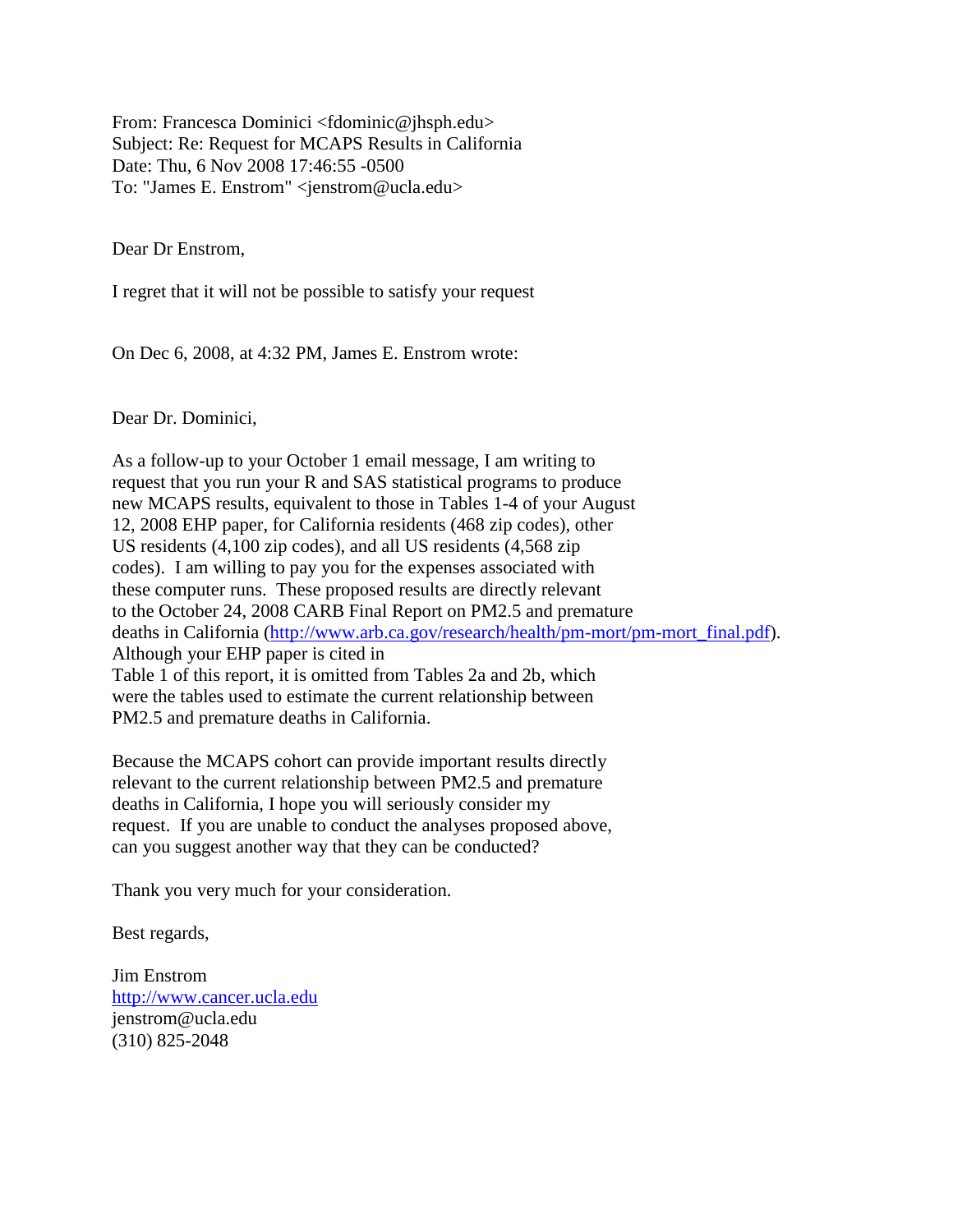From: Francesca Dominici <fdominic@jhsph.edu> Subject: Re: Request for MCAPS Results in California Date: Thu, 6 Nov 2008 17:46:55 -0500 To: "James E. Enstrom" <jenstrom@ucla.edu>

Dear Dr Enstrom,

I regret that it will not be possible to satisfy your request

On Dec 6, 2008, at 4:32 PM, James E. Enstrom wrote:

Dear Dr. Dominici,

As a follow-up to your October 1 email message, I am writing to request that you run your R and SAS statistical programs to produce new MCAPS results, equivalent to those in Tables 1-4 of your August 12, 2008 EHP paper, for California residents (468 zip codes), other US residents (4,100 zip codes), and all US residents (4,568 zip codes). I am willing to pay you for the expenses associated with these computer runs. These proposed results are directly relevant to the October 24, 2008 CARB Final Report on PM2.5 and premature deaths in California [\(http://www.arb.ca.gov/research/health/pm-mort/pm-mort\\_final.pdf\)](http://www.arb.ca.gov/research/health/pm-mort/pm-mort_final.pdf). Although your EHP paper is cited in Table 1 of this report, it is omitted from Tables 2a and 2b, which were the tables used to estimate the current relationship between PM2.5 and premature deaths in California.

Because the MCAPS cohort can provide important results directly relevant to the current relationship between PM2.5 and premature deaths in California, I hope you will seriously consider my request. If you are unable to conduct the analyses proposed above, can you suggest another way that they can be conducted?

Thank you very much for your consideration.

Best regards,

Jim Enstrom [http://www.cancer.ucla.edu](http://www.cancer.ucla.edu/) jenstrom@ucla.edu (310) 825-2048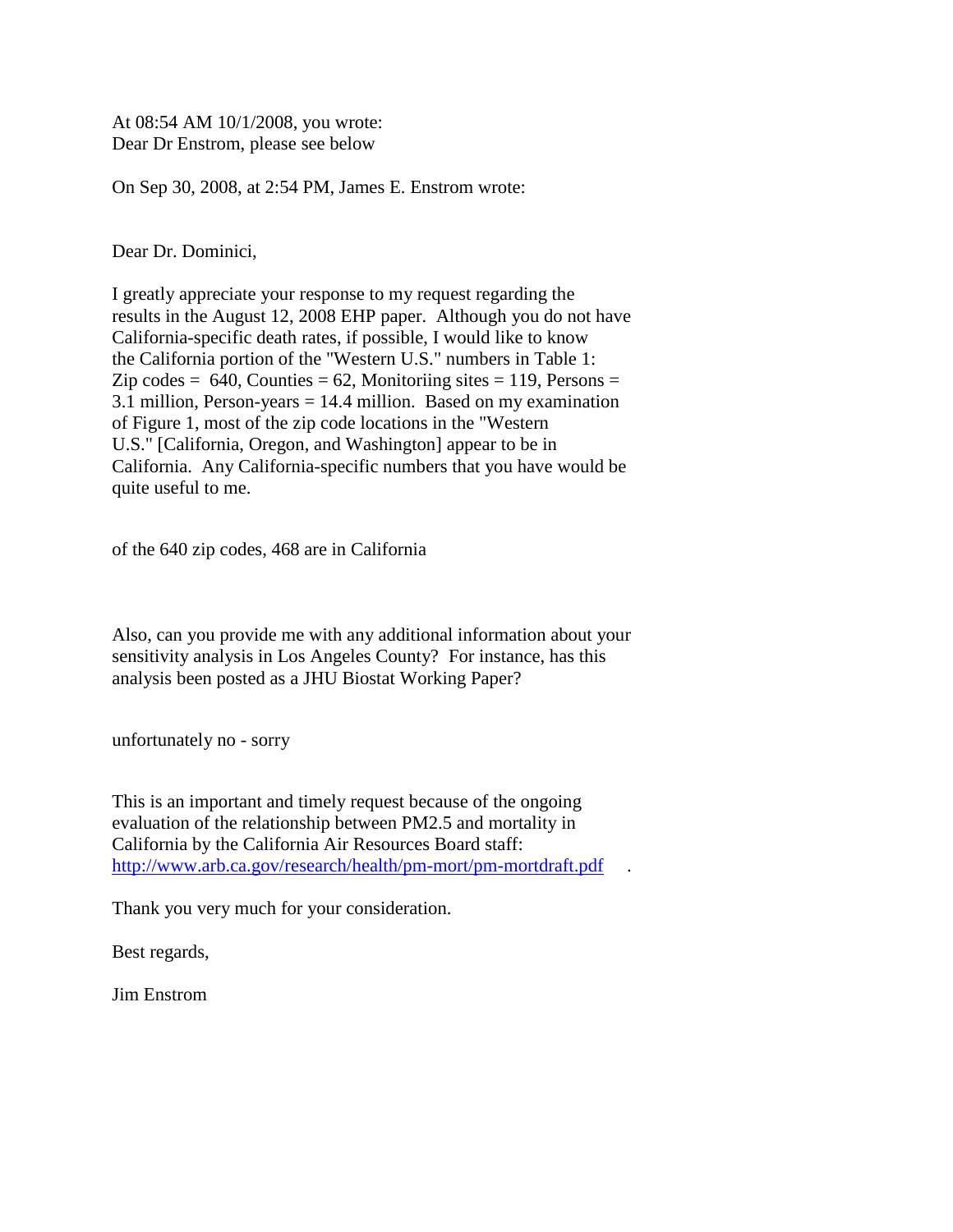At 08:54 AM 10/1/2008, you wrote: Dear Dr Enstrom, please see below

On Sep 30, 2008, at 2:54 PM, James E. Enstrom wrote:

Dear Dr. Dominici,

I greatly appreciate your response to my request regarding the results in the August 12, 2008 EHP paper. Although you do not have California-specific death rates, if possible, I would like to know the California portion of the "Western U.S." numbers in Table 1: Zip codes  $= 640$ , Counties  $= 62$ , Monitoriing sites  $= 119$ , Persons  $=$ 3.1 million, Person-years = 14.4 million. Based on my examination of Figure 1, most of the zip code locations in the "Western U.S." [California, Oregon, and Washington] appear to be in California. Any California-specific numbers that you have would be quite useful to me.

of the 640 zip codes, 468 are in California

Also, can you provide me with any additional information about your sensitivity analysis in Los Angeles County? For instance, has this analysis been posted as a JHU Biostat Working Paper?

unfortunately no - sorry

This is an important and timely request because of the ongoing evaluation of the relationship between PM2.5 and mortality in California by the California Air Resources Board staff: <http://www.arb.ca.gov/research/health/pm-mort/pm-mortdraft.pdf>.

Thank you very much for your consideration.

Best regards,

Jim Enstrom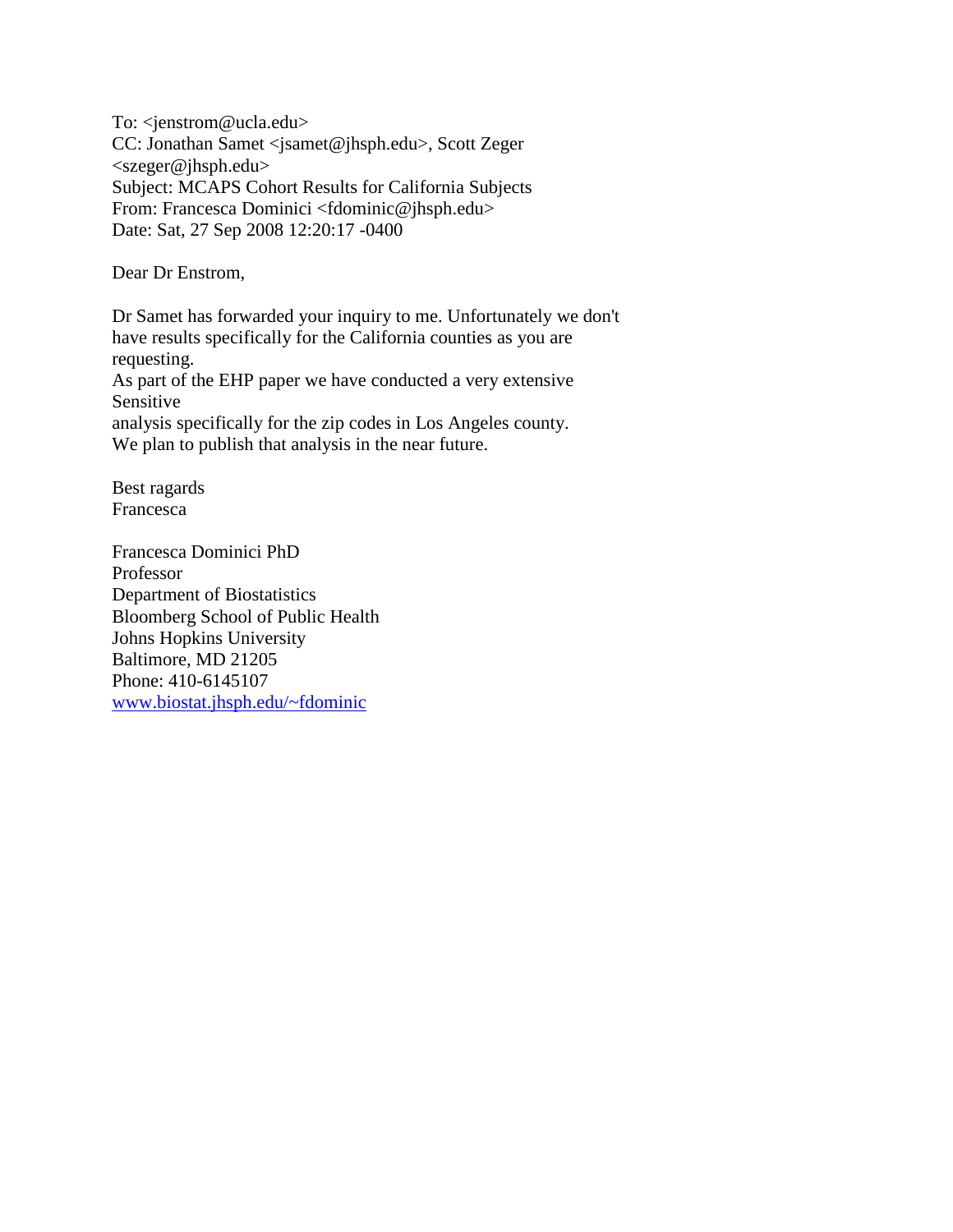To: <jenstrom@ucla.edu> CC: Jonathan Samet <jsamet@jhsph.edu>, Scott Zeger <szeger@jhsph.edu> Subject: MCAPS Cohort Results for California Subjects From: Francesca Dominici <fdominic@jhsph.edu> Date: Sat, 27 Sep 2008 12:20:17 -0400

Dear Dr Enstrom,

Dr Samet has forwarded your inquiry to me. Unfortunately we don't have results specifically for the California counties as you are requesting. As part of the EHP paper we have conducted a very extensive Sensitive analysis specifically for the zip codes in Los Angeles county. We plan to publish that analysis in the near future.

Best ragards Francesca

Francesca Dominici PhD Professor Department of Biostatistics Bloomberg School of Public Health Johns Hopkins University Baltimore, MD 21205 Phone: 410-6145107 [www.biostat.jhsph.edu/~fdominic](http://www.biostat.jhsph.edu/~fdominic)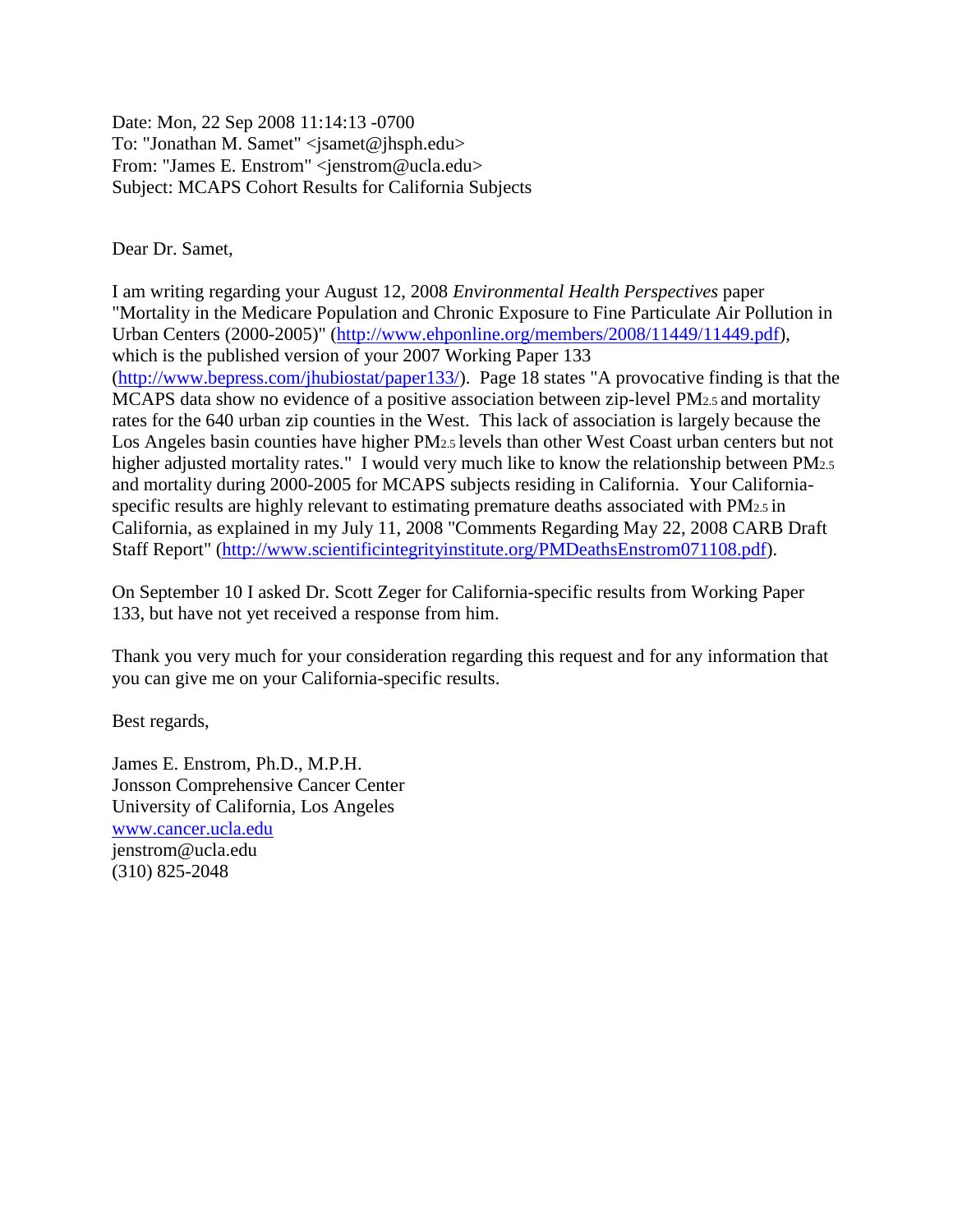Date: Mon, 22 Sep 2008 11:14:13 -0700 To: "Jonathan M. Samet" <jsamet@jhsph.edu> From: "James E. Enstrom" <jenstrom@ucla.edu> Subject: MCAPS Cohort Results for California Subjects

Dear Dr. Samet,

I am writing regarding your August 12, 2008 *Environmental Health Perspectives* paper "Mortality in the Medicare Population and Chronic Exposure to Fine Particulate Air Pollution in Urban Centers (2000-2005)" [\(http://www.ehponline.org/members/2008/11449/11449.pdf\)](http://www.ehponline.org/members/2008/11449/11449.pdf), which is the published version of your 2007 Working Paper 133 [\(http://www.bepress.com/jhubiostat/paper133/\)](http://www.bepress.com/jhubiostat/paper133/). Page 18 states "A provocative finding is that the MCAPS data show no evidence of a positive association between zip-level PM2.5 and mortality rates for the 640 urban zip counties in the West. This lack of association is largely because the Los Angeles basin counties have higher PM2.5 levels than other West Coast urban centers but not higher adjusted mortality rates." I would very much like to know the relationship between PM<sub>2.5</sub> and mortality during 2000-2005 for MCAPS subjects residing in California. Your Californiaspecific results are highly relevant to estimating premature deaths associated with PM2.5 in California, as explained in my July 11, 2008 "Comments Regarding May 22, 2008 CARB Draft Staff Report" [\(http://www.scientificintegrityinstitute.org/PMDeathsEnstrom071108.pdf\)](http://www.scientificintegrityinstitute.org/PMDeathsEnstrom071108.pdf).

On September 10 I asked Dr. Scott Zeger for California-specific results from Working Paper 133, but have not yet received a response from him.

Thank you very much for your consideration regarding this request and for any information that you can give me on your California-specific results.

Best regards,

James E. Enstrom, Ph.D., M.P.H. Jonsson Comprehensive Cancer Center University of California, Los Angeles [www.cancer.ucla.edu](http://www.cancer.ucla.edu/) jenstrom@ucla.edu (310) 825-2048